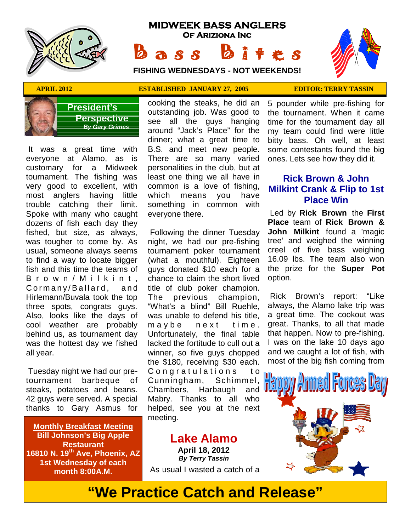

# **MIDWEEK BASS ANGLERS Of Ariziona Inc B a s s b** i t extends:<br>
FISHING WEDNESDAYS - NOT WEEKENDS!<br>
FISHING WEDNESDAYS - NOT WEEKENDS!

**FISHING WEDNESDAYS - NOT WEEKENDS!**





**President's Perspective**  *By Gary Grimes*

 It was a great time with everyone at Alamo, as is customary for a Midweek tournament. The fishing was very good to excellent, with most anglers having little trouble catching their limit. Spoke with many who caught dozens of fish each day they fished, but size, as always, was tougher to come by. As usual, someone always seems to find a way to locate bigger fish and this time the teams of fished, but size, as always, F<br>was tougher to come by. As ni<br>usual, someone always seems to<br>to find a way to locate bigger (v<br>fish and this time the teams of gu<br>B r o w n / M i l k i n t , ch<br>Cormany/Ballard, and tit<br>Hirl was tougher to come by. As night,<br>usual, someone always seems tourna<br>to find a way to locate bigger (what<br>fish and this time the teams of guys of<br>B r o w n / M i I k i n t, chance<br>Cormany/Ballard, and title of<br>Hirlemann/B Hirlemann/Buvala took the top three spots, congrats guys. Also, looks like the days of cool weather are probably maybe behind us, as tournament day was the hottest day we fished all year.

 Tuesday night we had our pretournament barbeque of steaks, potatoes and beans. 42 guys were served. A special thanks to Gary Asmus for

**Monthly Breakfast Meeting Bill Johnson's Big Apple Restaurant 16810 N. 19th Ave, Phoenix, AZ 1st Wednesday of each month 8:00A.M.**

cooking the steaks, he did an outstanding job. Was good to see all the guys hanging around "Jack's Place" for the dinner; what a great time to B.S. and meet new people. There are so many varied personalities in the club, but at least one thing we all have in common is a love of fishing, means you have something in common with everyone there.

 Following the dinner Tuesday night, we had our pre-fishing tournament poker tournament (what a mouthful). Eighteen guys donated \$10 each for a chance to claim the short lived title of club poker champion. previous champion, "What's a blind" Bill Ruehle, was unable to defend his title, chance to claim the short lived op<br>title of club poker champion.<br>The previous champion, R<br>"What's a blind" Bill Ruehle, alwas unable to defend his title, a<br>m a y b e n e x t t i m e . gree<br>Unfortunately, the final table t Unfortunately, the final table lacked the fortitude to cull out a winner, so five guys chopped the \$180, receiving \$30 each. m a y b e n e x t t i m e great.<br>Unfortunately, the final table that has<br>lacked the fortitude to cull out a I was<br>winner, so five guys chopped and we<br>the \$180, receiving \$30 each. most o<br>C o n g r a t u l a t i o n s t o<br>C Cunningham, Schimmel, Chambers, Harbaugh and Mabry. Thanks to all who helped, see you at the next meeting.

**Lake Alamo April 18, 2012** *By Terry Tassin* As usual I wasted a catch of a

**APRIL 2012 ESTABLISHED JANUARY 27, 2005 EDITOR: TERRY TASSIN**

5 pounder while pre-fishing for the tournament. When it came time for the tournament day all my team could find were little bitty bass. Oh well, at least some contestants found the big ones. Lets see how they did it.

### **Rick Brown & John Milkint Crank & Flip to 1st Place Win**

 Led by **Rick Brown** the **First Place** team of **Rick Brown & John Milkint** found a 'magic tree' and weighed the winning creel of five bass weighing 16.09 lbs. The team also won the prize for the **Super Pot** option.

 Rick Brown's report: "Like always, the Alamo lake trip was a great time. The cookout was great. Thanks, to all that made that happen. Now to pre-fishing. I was on the lake 10 days ago and we caught a lot of fish, with most of the big fish coming from



**"We Practice Catch and Release"**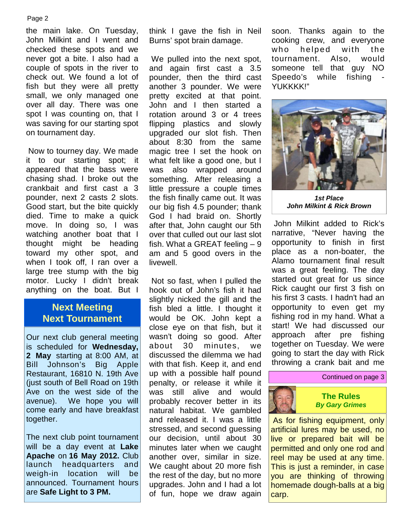#### Page 2

the main lake. On Tuesday, John Milkint and I went and checked these spots and we never got a bite. I also had a couple of spots in the river to check out. We found a lot of fish but they were all pretty small, we only managed one over all day. There was one spot I was counting on, that I was saving for our starting spot on tournament day.

 Now to tourney day. We made it to our starting spot; it appeared that the bass were chasing shad. I broke out the crankbait and first cast a 3 pounder, next 2 casts 2 slots. Good start, but the bite quickly died. Time to make a quick move. In doing so, I was watching another boat that I thought might be heading toward my other spot, and when I took off, I ran over a large tree stump with the big motor. Lucky I didn't break anything on the boat. But I

# **Next Meeting Next Tournament**

Our next club general meeting is scheduled for **Wednesday, 2 May** starting at 8:00 AM, at Bill Johnson's Big Apple Restaurant, 16810 N. 19th Ave (just south of Bell Road on 19th Ave on the west side of the avenue). We hope you will come early and have breakfast together.

The next club point tournament will be a day event at **Lake Apache** on **16 May 2012.** Club launch headquarters and<br>weigh-in location will be weigh-in location will announced. Tournament hours are **Safe Light to 3 PM.**

think I gave the fish in Neil Burns' spot brain damage.

 We pulled into the next spot, and again first cast a 3.5 pounder, then the third cast Speedo's another 3 pounder. We were pretty excited at that point. John and I then started a rotation around 3 or 4 trees flipping plastics and slowly upgraded our slot fish. Then about 8:30 from the same magic tree I set the hook on what felt like a good one, but I also wrapped around something. After releasing a little pressure a couple times the fish finally came out. It was our big fish 4.5 pounder; thank God I had braid on. Shortly after that, John caught our 5th over that culled out our last slot fish. What a GREAT feeling – 9 am and 5 good overs in the livewell.

 Not so fast, when I pulled the hook out of John's fish it had slightly nicked the gill and the fish bled a little. I thought it would be OK. John kept a close eye on that fish, but it wasn't doing so good. After about 30 minutes, we discussed the dilemma we had with that fish. Keep it, and end up with a possible half pound penalty, or release it while it was still alive and would probably recover better in its natural habitat. We gambled and released it. I was a little stressed, and second guessing our decision, until about 30 minutes later when we caught another over, similar in size. We caught about 20 more fish the rest of the day, but no more upgrades. John and I had a lot of fun, hope we draw again

soon. Thanks again to the cooking crew, and everyone soon. Thanks again to the<br>cooking crew, and everyone<br>who helped with the<br>tournament. Also, would<br>someone tell that guy NO tournament. Also, would someone tell that guy NO while fishing YUKKKK!"



*1st Place John Milkint & Rick Brown*

 John Milkint added to Rick's narrative, "Never having the opportunity to finish in first place as a non-boater, the Alamo tournament final result was a great feeling. The day started out great for us since Rick caught our first 3 fish on his first 3 casts. I hadn't had an opportunity to even get my fishing rod in my hand. What a start! We had discussed our approach after pre fishing together on Tuesday. We were going to start the day with Rick throwing a crank bait and me

#### Continued on page 3



 As for fishing equipment, only artificial lures may be used, no live or prepared bait will be permitted and only one rod and reel may be used at any time. This is just a reminder, in case you are thinking of throwing homemade dough-balls at a big carp.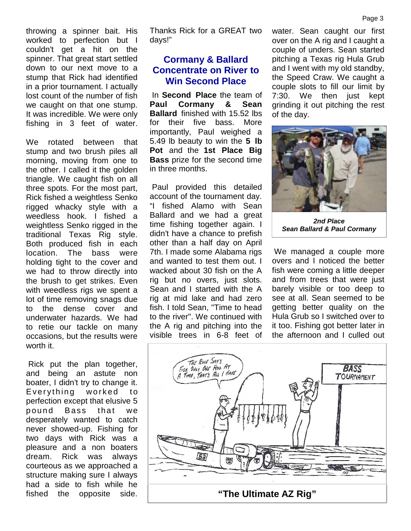throwing a spinner bait. His worked to perfection but I couldn't get a hit on the spinner. That great start settled down to our next move to a stump that Rick had identified in a prior tournament. I actually lost count of the number of fish we caught on that one stump. It was incredible. We were only fishing in 3 feet of water.

We rotated between that stump and two brush piles all morning, moving from one to the other. I called it the golden triangle. We caught fish on all three spots. For the most part, Rick fished a weightless Senko rigged whacky style with a weedless hook. I fished a weightless Senko rigged in the traditional Texas Rig style. Both produced fish in each location. The bass were holding tight to the cover and we had to throw directly into the brush to get strikes. Even with weedless rigs we spent a lot of time removing snags due to the dense cover and underwater hazards. We had to retie our tackle on many occasions, but the results were worth it.

 Rick put the plan together, and being an astute non boater, I didn't try to change it. worth it.<br>
Rick put the plan together,<br>
and being an astute non<br>
boater, I didn't try to change it.<br>
Everything worked to<br>
perfection except that elusive 5<br>
pound Bass, that we perfection except that elusive 5 Rick put the plan together,<br>and being an astute non<br>boater, I didn't try to change it.<br>Everything worked to<br>perfection except that elusive 5<br>pound Bass that we<br>desperately wanted to catch<br>never showed-un Fishing for desperately wanted to catch never showed-up. Fishing for two days with Rick was a pleasure and a non boaters dream. Rick was always courteous as we approached a structure making sure I always had a side to fish while he fished the opposite side.

Thanks Rick for a GREAT two days!"

## **Cormany & Ballard Concentrate on River to Win Second Place**

 In **Second Place** the team of **Paul Cormany & Sean Ballard** finished with 15.52 lbs for their five bass. More importantly, Paul weighed a 5.49 lb beauty to win the **5 lb Pot** and the **1st Place Big Bass** prize for the second time in three months.

 Paul provided this detailed account of the tournament day. "I fished Alamo with Sean Ballard and we had a great time fishing together again. I didn't have a chance to prefish other than a half day on April 7th. I made some Alabama rigs and wanted to test them out. I wacked about 30 fish on the A rig but no overs, just slots. Sean and I started with the A rig at mid lake and had zero fish. I told Sean, "Time to head to the river". We continued with the A rig and pitching into the visible trees in 6-8 feet of

water. Sean caught our first over on the A rig and I caught a couple of unders. Sean started pitching a Texas rig Hula Grub and I went with my old standby, the Speed Craw. We caught a couple slots to fill our limit by 7:30. We then just kept grinding it out pitching the rest of the day.



*2nd Place Sean Ballard & Paul Cormany*

 We managed a couple more overs and I noticed the better fish were coming a little deeper and from trees that were just barely visible or too deep to see at all. Sean seemed to be getting better quality on the Hula Grub so I switched over to it too. Fishing got better later in the afternoon and I culled out

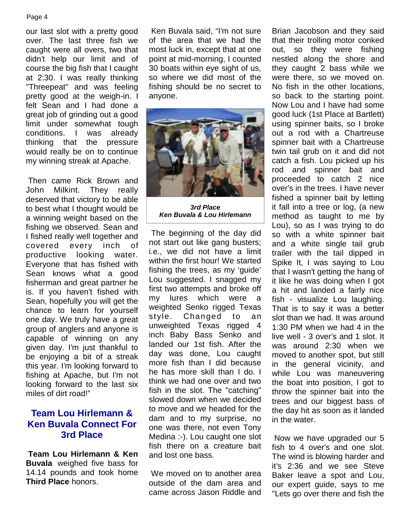#### Page 4

our last slot with a pretty good over. The last three fish we caught were all overs, two that didn't help our limit and of course the big fish that I caught at 2:30. I was really thinking "Threepeat" and was feeling pretty good at the weigh-in. I felt Sean and I had done a great job of grinding out a good limit under somewhat tough conditions. I was already thinking that the pressure would really be on to continue my winning streak at Apache.

 Then came Rick Brown and John Milkint. They really deserved that victory to be able to best what I thought would be a winning weight based on the fishing we observed. Sean and I fished really well together and covered every inch of productive looking water. Everyone that has fished with Sean knows what a good fisherman and great partner he is. If you haven't fished with Illist is a my the my the my the my that the my the my Sean, hopefully you will get the chance to learn for yourself one day. We truly have a great group of anglers and anyone is capable of winning on any given day. I'm just thankful to be enjoying a bit of a streak this year. I'm looking forward to fishing at Apache, but I'm not looking forward to the last six miles of dirt road!"

# **Team Lou Hirlemann & Ken Buvala Connect For 3rd Place**

**Team Lou Hirlemann & Ken Buvala** weighed five bass for 14.14 pounds and took home **Third Place** honors.

 Ken Buvala said, "I'm not sure of the area that we had the most luck in, except that at one point at mid-morning, I counted 30 boats within eye sight of us, so where we did most of the fishing should be no secret to anyone.



*3rd Place Ken Buvala & Lou Hirlemann*

 The beginning of the day did not start out like gang busters; i.e., we did not have a limit within the first hour! We started fishing the trees, as my 'guide' Lou suggested. I snagged my first two attempts and broke off lures which were a weighted Senko rigged Texas style. Changed to an unweighted Texas rigged 4 inch Baby Bass Senko and landed our 1st fish. After the day was done, Lou caught more fish than I did because he has more skill than I do. I think we had one over and two fish in the slot. The "catching" slowed down when we decided to move and we headed for the dam and to my surprise, no one was there, not even Tony Medina :-). Lou caught one slot fish there on a creature bait and lost one bass.

 We moved on to another area outside of the dam area and came across Jason Riddle and

Brian Jacobson and they said that their trolling motor conked out, so they were fishing nestled along the shore and they caught 2 bass while we were there, so we moved on. No fish in the other locations, so back to the starting point. Now Lou and I have had some good luck (1st Place at Bartlett) using spinner baits, so I broke out a rod with a Chartreuse spinner bait with a Chartreuse twin tail grub on it and did not catch a fish. Lou picked up his rod and spinner bait and proceeded to catch 2 nice over's in the trees. I have never fished a spinner bait by letting it fall into a tree or log, (a new method as taught to me by Lou), so as I was trying to do so with a white spinner bait and a white single tail grub trailer with the tail dipped in Spike It, I was saying to Lou that I wasn't getting the hang of it like he was doing when I got a hit and landed a fairly nice fish - visualize Lou laughing. That is to say it was a better slot than we had. It was around 1:30 PM when we had 4 in the live well - 3 over's and 1 slot. It was around 2:30 when we moved to another spot, but still in the general vicinity, and while Lou was maneuvering the boat into position, I got to throw the spinner bait into the trees and our biggest bass of the day hit as soon as it landed in the water.

 Now we have upgraded our 5 fish to 4 over's and one slot. The wind is blowing harder and it's 2:36 and we see Steve Baker leave a spot and Lou, our expert guide, says to me "Lets go over there and fish the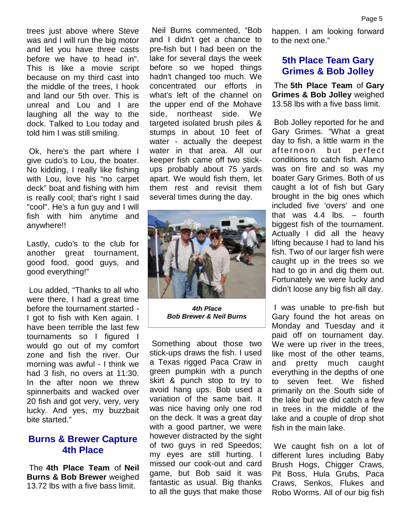trees just above where Steve was and I will run the big motor and let you have three casts before we have to head in". This is like a movie script because on my third cast into the middle of the trees, I hook and land our 5th over. This is unreal and Lou and I are laughing all the way to the dock. Talked to Lou today and told him I was still smiling.

 Ok, here's the part where I give cudo's to Lou, the boater. No kidding, I really like fishing with Lou, love his "no carpet deck" boat and fishing with him is really cool; that's right I said "cool". He's a fun guy and I will fish with him anytime and anywhere!!

Lastly, cudo's to the club for another great tournament, good food, good guys, and good everything!"

 Lou added, "Thanks to all who were there, I had a great time before the tournament started - I got to fish with Ken again. I have been terrible the last few tournaments so I figured I would go out of my comfort zone and fish the river. Our morning was awful - I think we had 3 fish, no overs at 11:30. In the after noon we threw spinnerbaits and wacked over 20 fish and got very, very, very lucky. And yes, my buzzbait bite started."

### **Burns & Brewer Capture 4th Place**

 The **4th Place Team** of **Neil Burns & Bob Brewer** weighed 13.72 lbs with a five bass limit.

 Neil Burns commented, "Bob and I didn't get a chance to pre-fish but I had been on the lake for several days the week before so we hoped things hadn't changed too much. We concentrated our efforts in what's left of the channel on the upper end of the Mohave northeast side. We targeted isolated brush piles & stumps in about 10 feet of water - actually the deepest day to fish, a<br>water in that area. All our afternoon water in that area. All our keeper fish came off two stick ups probably about 75 yards apart. We would fish them, let them rest and revisit them several times during the day.



*4th Place Bob Brewer & Neil Burns*

 Something about those two stick-ups draws the fish. I used a Texas rigged Paca Craw in green pumpkin with a punch skirt & punch stop to try to avoid hang ups. Bob used a variation of the same bait. It was nice having only one rod on the deck. It was a great day with a good partner, we were however distracted by the sight of two guys in red Speedos; my eyes are still hurting. I missed our cook-out and card game, but Bob said it was fantastic as usual. Big thanks to all the guys that make those

happen. I am looking forward to the next one."

# **5th Place Team Gary Grimes & Bob Jolley**

 The **5th Place Team** of **Gary Grimes & Bob Jolley** weighed 13.58 lbs with a five bass limit.

 Bob Jolley reported for he and Gary Grimes. "What a great day to fish, a little warm in the 13.58 lbs with a five bass limit.<br>Bob Jolley reported for he and<br>Gary Grimes. "What a great<br>day to fish, a little warm in the<br>afternoon but perfect<br>conditions to catch fish. Alamo conditions to catch fish. Alamo was on fire and so was my boater Gary Grimes. Both of us caught a lot of fish but Gary brought in the big ones which included five 'overs' and one that was 4.4 lbs. – fourth biggest fish of the tournament. Actually I did all the heavy lifting because I had to land his fish. Two of our larger fish were caught up in the trees so we had to go in and dig them out. Fortunately we were lucky and didn't loose any big fish all day.

 I was unable to pre-fish but Gary found the hot areas on Monday and Tuesday and it paid off on tournament day. We were up river in the trees, like most of the other teams, and pretty much caught everything in the depths of one to seven feet. We fished primarily on the South side of the lake but we did catch a few in trees in the middle of the lake and a couple of drop shot fish in the main lake.

 We caught fish on a lot of different lures including Baby Brush Hogs, Chigger Craws, Pit Boss, Hula Grubs, Paca Craws, Senkos, Flukes and Robo Worms. All of our big fish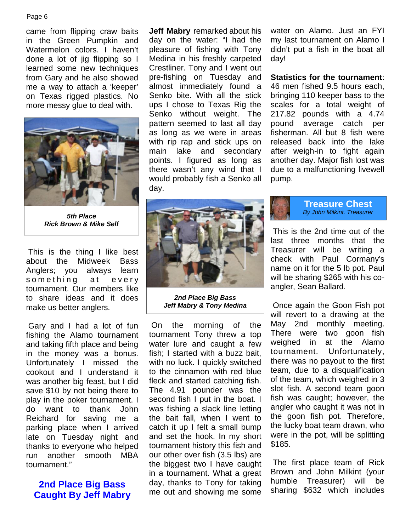#### Page 6

came from flipping craw baits in the Green Pumpkin and Watermelon colors. I haven't done a lot of jig flipping so I learned some new techniques from Gary and he also showed me a way to attach a 'keeper' on Texas rigged plastics. No more messy glue to deal with.



*5th Place Rick Brown & Mike Self*

 This is the thing I like best about the Midweek Bass Anglers; you always learn This is the thing I like best<br>about the Midweek Bass<br>Anglers; you always learn<br>something at every<br>tournament. Our members like<br>to share ideas and it does tournament. Our members like to share ideas and it does make us better anglers.

 Gary and I had a lot of fun fishing the Alamo tournament and taking fifth place and being in the money was a bonus. Unfortunately I missed the cookout and I understand it was another big feast, but I did save \$10 by not being there to play in the poker tournament. I do want to thank John Reichard for saving me a parking place when I arrived late on Tuesday night and thanks to everyone who helped run another smooth MBA tournament."

# **2nd Place Big Bass Caught By Jeff Mabry**

**Jeff Mabry** remarked about his day on the water: "I had the pleasure of fishing with Tony Medina in his freshly carpeted Crestliner. Tony and I went out pre-fishing on Tuesday and almost immediately found a Senko bite. With all the stick ups I chose to Texas Rig the Senko without weight. The pattern seemed to last all day as long as we were in areas with rip rap and stick ups on main lake and secondary points. I figured as long as there wasn't any wind that I would probably fish a Senko all day.



**Statistics for the tournament**: 46 men fished 9.5 hours each, bringing 110 keeper bass to the scales for a total weight of 217.82 pounds with a 4.74 pound average catch per fisherman. All but 8 fish were released back into the lake after weigh-in to fight again another day. Major fish lost was due to a malfunctioning livewell pump.



*2nd Place Big Bass Jeff Mabry & Tony Medina*

 On the morning of the tournament Tony threw a top There were<br>water lure and caught a few Weighed in water lure and caught a few weighed in<br>fish: I started with a buzz bait tournament. fish; I started with a buzz bait, with no luck. I quickly switched to the cinnamon with red blue fleck and started catching fish. The 4.91 pounder was the second fish I put in the boat. I was fishing a slack line letting the bait fall, when I went to catch it up I felt a small bump and set the hook. In my short tournament history this fish and our other over fish (3.5 lbs) are the biggest two I have caught in a tournament. What a great day, thanks to Tony for taking me out and showing me some

# **Treasure Chest** *By John Milkint. Treasurer*

 This is the 2nd time out of the last three months that the Treasurer will be writing a check with Paul Cormany's name on it for the 5 lb pot. Paul will be sharing \$265 with his co angler, Sean Ballard.

 Once again the Goon Fish pot will revert to a drawing at the May 2nd monthly meeting. There were two goon fish at the Alamo Unfortunately, there was no payout to the first team, due to a disqualification of the team, which weighed in 3 slot fish. A second team goon fish was caught; however, the angler who caught it was not in the goon fish pot. Therefore, the lucky boat team drawn, who were in the pot, will be splitting \$185.

 The first place team of Rick Brown and John Milkint (your humble Treasurer) will be sharing \$632 which includes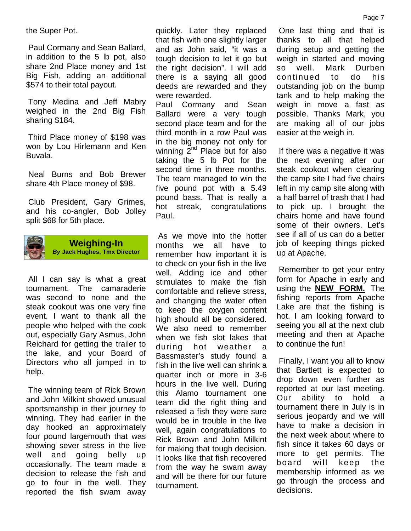the Super Pot.

 Paul Cormany and Sean Ballard, in addition to the 5 lb pot, also share 2nd Place money and 1st Big Fish, adding an additional \$574 to their total payout.

 Tony Medina and Jeff Mabry weighed in the 2nd Big Fish sharing \$184.

 Third Place money of \$198 was won by Lou Hirlemann and Ken Buvala.

 Neal Burns and Bob Brewer share 4th Place money of \$98.

 Club President, Gary Grimes, and his co-angler, Bob Jolley split \$68 for 5th place.



**Weighing-In** *By* **Jack Hughes, Tmx Director**

 All I can say is what a great tournament. The camaraderie was second to none and the steak cookout was one very fine event. I want to thank all the people who helped with the cook out, especially Gary Asmus, John Reichard for getting the trailer to the lake, and your Board of Directors who all jumped in to help.

 The winning team of Rick Brown and John Milkint showed unusual sportsmanship in their journey to winning. They had earlier in the day hooked an approximately four pound largemouth that was showing sever stress in the live well and going belly up occasionally. The team made a decision to release the fish and go to four in the well. They reported the fish swam away quickly. Later they replaced that fish with one slightly larger and as John said, "it was a tough decision to let it go but the right decision". I will add there is a saying all good deeds are rewarded and they were rewarded.

Paul Cormany and Sean Ballard were a very tough second place team and for the third month in a row Paul was in the big money not only for winning  $2^{nd}$  Place but for also taking the 5 lb Pot for the second time in three months. The team managed to win the five pound pot with a 5.49 pound bass. That is really a hot streak, congratulations Paul.

 As we move into the hotter months we all have to remember how important it is to check on your fish in the live well. Adding ice and other stimulates to make the fish comfortable and relieve stress, and changing the water often to keep the oxygen content high should all be considered. We also need to remember when we fish slot lakes that during hot weather a Bassmaster's study found a fish in the live well can shrink a quarter inch or more in 3-6 hours in the live well. During this Alamo tournament one cour team did the right thing and released a fish they were sure would be in trouble in the live well, again congratulations to Rick Brown and John Milkint for making that tough decision. It looks like that fish recovered board from the way he swam away and will be there for our future tournament.

 One last thing and that is thanks to all that helped during setup and getting the weigh in started and moving Mark Durben continued to do his outstanding job on the bump tank and to help making the weigh in move a fast as possible. Thanks Mark, you are making all of our jobs easier at the weigh in.

 If there was a negative it was the next evening after our steak cookout when clearing the camp site I had five chairs left in my camp site along with a half barrel of trash that I had to pick up. I brought the chairs home and have found some of their owners. Let's see if all of us can do a better job of keeping things picked up at Apache.

 Remember to get your entry form for Apache in early and using the **NEW FORM.** The fishing reports from Apache Lake are that the fishing is hot. I am looking forward to seeing you all at the next club meeting and then at Apache to continue the fun!

 Finally, I want you all to know that Bartlett is expected to drop down even further as reported at our last meeting. ability to hold a tournament there in July is in serious jeopardy and we will have to make a decision in the next week about where to fish since it takes 60 days or more to get permits. The will keep the membership informed as we go through the process and decisions.